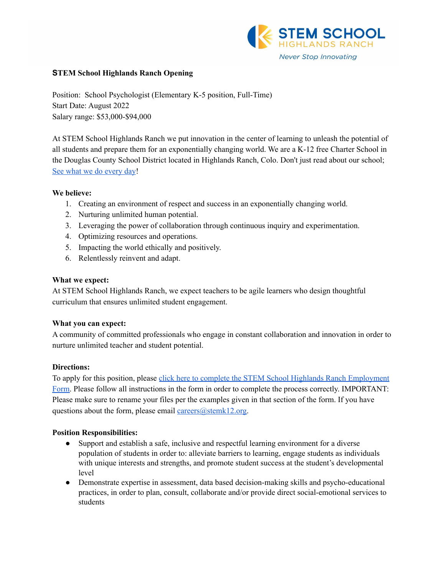

## **STEM School Highlands Ranch Opening**

Position: School Psychologist (Elementary K-5 position, Full-Time) Start Date: August 2022 Salary range: \$53,000-\$94,000

At STEM School Highlands Ranch we put innovation in the center of learning to unleash the potential of all students and prepare them for an exponentially changing world. We are a K-12 free Charter School in the Douglas County School District located in Highlands Ranch, Colo. Don't just read about our school; See what we do [every](https://www.youtube.com/channel/UCEjas5mnML_7D6bnjE6cBXQ) day!

#### **We believe:**

- 1. Creating an environment of respect and success in an exponentially changing world.
- 2. Nurturing unlimited human potential.
- 3. Leveraging the power of collaboration through continuous inquiry and experimentation.
- 4. Optimizing resources and operations.
- 5. Impacting the world ethically and positively.
- 6. Relentlessly reinvent and adapt.

#### **What we expect:**

At STEM School Highlands Ranch, we expect teachers to be agile learners who design thoughtful curriculum that ensures unlimited student engagement.

## **What you can expect:**

A community of committed professionals who engage in constant collaboration and innovation in order to nurture unlimited teacher and student potential.

## **Directions:**

To apply for this position, please click here to complete the STEM School Highlands Ranch [Employment](https://docs.google.com/forms/d/e/1FAIpQLSfix8N5Y4r8UN-EoNntuUI_3ZGfalCIW_KiKAja-s9jkUit8g/viewform?usp=sf_link) [Form.](https://docs.google.com/forms/d/e/1FAIpQLSfix8N5Y4r8UN-EoNntuUI_3ZGfalCIW_KiKAja-s9jkUit8g/viewform?usp=sf_link) Please follow all instructions in the form in order to complete the process correctly. IMPORTANT: Please make sure to rename your files per the examples given in that section of the form. If you have questions about the form, please email [careers@stemk12.org.](mailto:careers@stemk12.org)

## **Position Responsibilities:**

- Support and establish a safe, inclusive and respectful learning environment for a diverse population of students in order to: alleviate barriers to learning, engage students as individuals with unique interests and strengths, and promote student success at the student's developmental level
- Demonstrate expertise in assessment, data based decision-making skills and psycho-educational practices, in order to plan, consult, collaborate and/or provide direct social-emotional services to students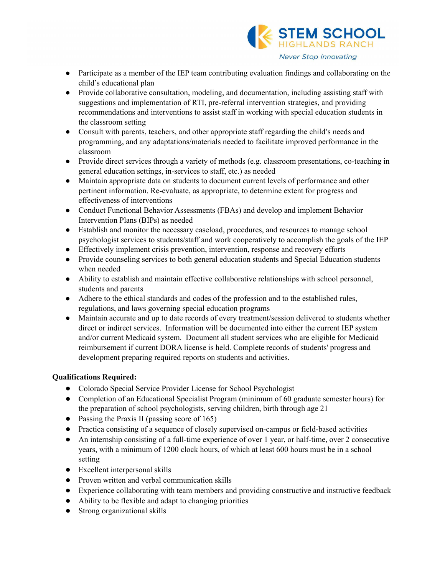

- Participate as a member of the IEP team contributing evaluation findings and collaborating on the child's educational plan
- Provide collaborative consultation, modeling, and documentation, including assisting staff with suggestions and implementation of RTI, pre-referral intervention strategies, and providing recommendations and interventions to assist staff in working with special education students in the classroom setting
- Consult with parents, teachers, and other appropriate staff regarding the child's needs and programming, and any adaptations/materials needed to facilitate improved performance in the classroom
- Provide direct services through a variety of methods (e.g. classroom presentations, co-teaching in general education settings, in-services to staff, etc.) as needed
- Maintain appropriate data on students to document current levels of performance and other pertinent information. Re-evaluate, as appropriate, to determine extent for progress and effectiveness of interventions
- Conduct Functional Behavior Assessments (FBAs) and develop and implement Behavior Intervention Plans (BIPs) as needed
- Establish and monitor the necessary caseload, procedures, and resources to manage school psychologist services to students/staff and work cooperatively to accomplish the goals of the IEP
- Effectively implement crisis prevention, intervention, response and recovery efforts
- Provide counseling services to both general education students and Special Education students when needed
- Ability to establish and maintain effective collaborative relationships with school personnel, students and parents
- Adhere to the ethical standards and codes of the profession and to the established rules, regulations, and laws governing special education programs
- Maintain accurate and up to date records of every treatment/session delivered to students whether direct or indirect services. Information will be documented into either the current IEP system and/or current Medicaid system. Document all student services who are eligible for Medicaid reimbursement if current DORA license is held. Complete records of students' progress and development preparing required reports on students and activities.

# **Qualifications Required:**

- Colorado Special Service Provider License for School Psychologist
- Completion of an Educational Specialist Program (minimum of 60 graduate semester hours) for the preparation of school psychologists, serving children, birth through age 21
- Passing the Praxis II (passing score of 165)
- Practica consisting of a sequence of closely supervised on-campus or field-based activities
- An internship consisting of a full-time experience of over 1 year, or half-time, over 2 consecutive years, with a minimum of 1200 clock hours, of which at least 600 hours must be in a school setting
- Excellent interpersonal skills
- Proven written and verbal communication skills
- Experience collaborating with team members and providing constructive and instructive feedback
- Ability to be flexible and adapt to changing priorities
- Strong organizational skills